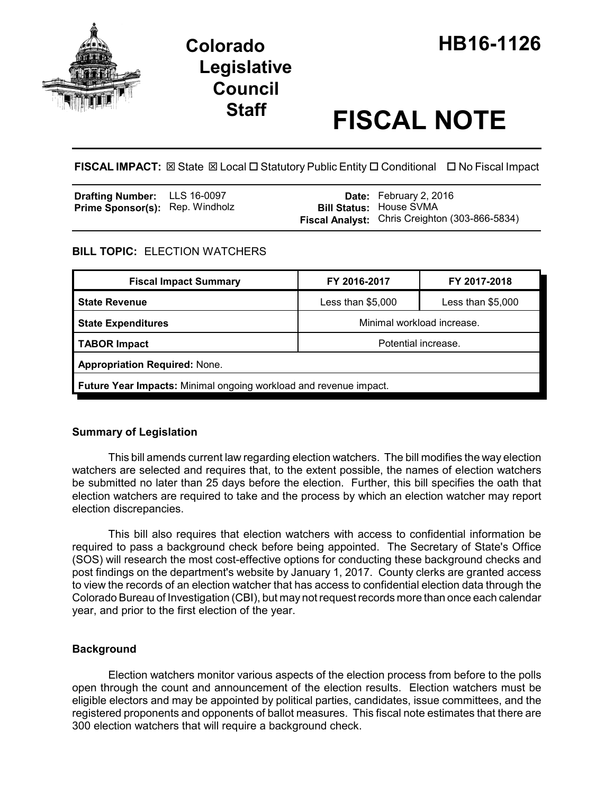

# **Legislative Council**

## **Staff FISCAL NOTE**

**FISCAL IMPACT:** ⊠ State ⊠ Local □ Statutory Public Entity □ Conditional □ No Fiscal Impact

| <b>Drafting Number:</b> LLS 16-0097    |  | <b>Date:</b> February 2, 2016                                                           |
|----------------------------------------|--|-----------------------------------------------------------------------------------------|
| <b>Prime Sponsor(s): Rep. Windholz</b> |  | <b>Bill Status: House SVMA</b><br><b>Fiscal Analyst:</b> Chris Creighton (303-866-5834) |

#### **BILL TOPIC:** ELECTION WATCHERS

| <b>Fiscal Impact Summary</b>                                      | FY 2016-2017               | FY 2017-2018       |  |  |  |  |
|-------------------------------------------------------------------|----------------------------|--------------------|--|--|--|--|
| <b>State Revenue</b>                                              | Less than $$5,000$         | Less than $$5,000$ |  |  |  |  |
| <b>State Expenditures</b>                                         | Minimal workload increase. |                    |  |  |  |  |
| <b>TABOR Impact</b>                                               | Potential increase.        |                    |  |  |  |  |
| <b>Appropriation Required: None.</b>                              |                            |                    |  |  |  |  |
| Future Year Impacts: Minimal ongoing workload and revenue impact. |                            |                    |  |  |  |  |

#### **Summary of Legislation**

This bill amends current law regarding election watchers. The bill modifies the way election watchers are selected and requires that, to the extent possible, the names of election watchers be submitted no later than 25 days before the election. Further, this bill specifies the oath that election watchers are required to take and the process by which an election watcher may report election discrepancies.

This bill also requires that election watchers with access to confidential information be required to pass a background check before being appointed. The Secretary of State's Office (SOS) will research the most cost-effective options for conducting these background checks and post findings on the department's website by January 1, 2017. County clerks are granted access to view the records of an election watcher that has access to confidential election data through the Colorado Bureau of Investigation (CBI), but may not request records more than once each calendar year, and prior to the first election of the year.

#### **Background**

Election watchers monitor various aspects of the election process from before to the polls open through the count and announcement of the election results. Election watchers must be eligible electors and may be appointed by political parties, candidates, issue committees, and the registered proponents and opponents of ballot measures. This fiscal note estimates that there are 300 election watchers that will require a background check.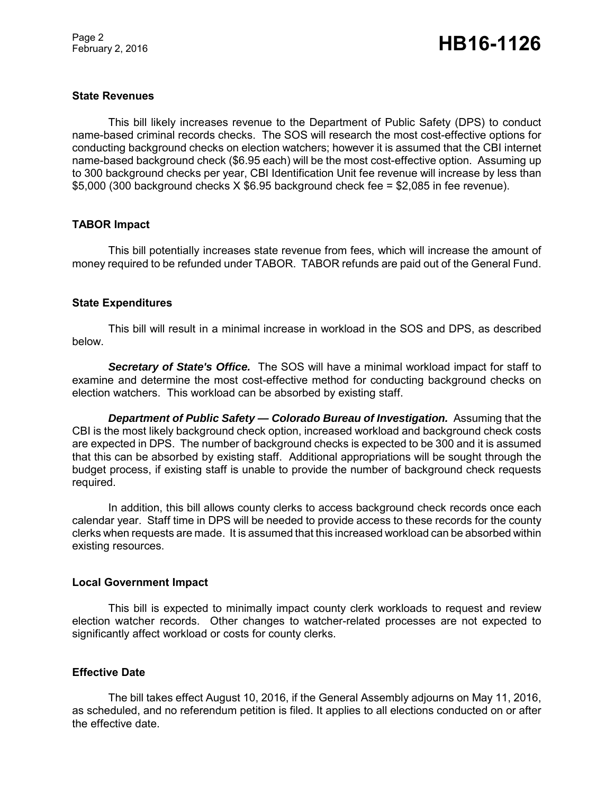#### **State Revenues**

This bill likely increases revenue to the Department of Public Safety (DPS) to conduct name-based criminal records checks. The SOS will research the most cost-effective options for conducting background checks on election watchers; however it is assumed that the CBI internet name-based background check (\$6.95 each) will be the most cost-effective option. Assuming up to 300 background checks per year, CBI Identification Unit fee revenue will increase by less than \$5,000 (300 background checks X \$6.95 background check fee = \$2,085 in fee revenue).

#### **TABOR Impact**

This bill potentially increases state revenue from fees, which will increase the amount of money required to be refunded under TABOR. TABOR refunds are paid out of the General Fund.

#### **State Expenditures**

This bill will result in a minimal increase in workload in the SOS and DPS, as described below.

*Secretary of State's Office.* The SOS will have a minimal workload impact for staff to examine and determine the most cost-effective method for conducting background checks on election watchers. This workload can be absorbed by existing staff.

*Department of Public Safety — Colorado Bureau of Investigation.* Assuming that the CBI is the most likely background check option, increased workload and background check costs are expected in DPS. The number of background checks is expected to be 300 and it is assumed that this can be absorbed by existing staff. Additional appropriations will be sought through the budget process, if existing staff is unable to provide the number of background check requests required.

In addition, this bill allows county clerks to access background check records once each calendar year. Staff time in DPS will be needed to provide access to these records for the county clerks when requests are made. It is assumed that this increased workload can be absorbed within existing resources.

#### **Local Government Impact**

This bill is expected to minimally impact county clerk workloads to request and review election watcher records. Other changes to watcher-related processes are not expected to significantly affect workload or costs for county clerks.

#### **Effective Date**

The bill takes effect August 10, 2016, if the General Assembly adjourns on May 11, 2016, as scheduled, and no referendum petition is filed. It applies to all elections conducted on or after the effective date.